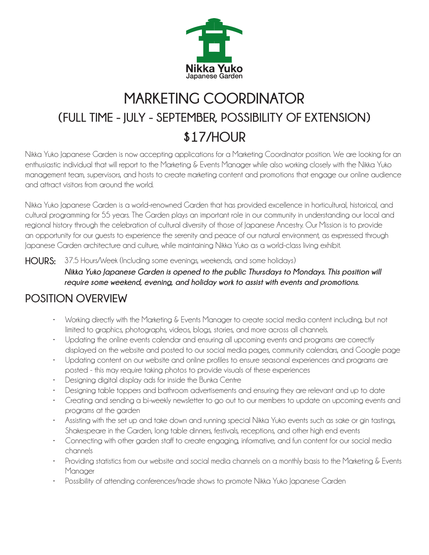

## **MARKETING COORDINATOR (FULL TIME - JULY - SEPTEMBER, POSSIBILITY OF EXTENSION) \$17/HOUR**

Nikka Yuko Japanese Garden is now accepting applications for a Marketing Coordinator position. We are looking for an enthusiastic individual that will report to the Marketing & Events Manager while also working closely with the Nikka Yuko management team, supervisors, and hosts to create marketing content and promotions that engage our online audience and attract visitors from around the world.

Nikka Yuko Japanese Garden is a world-renowned Garden that has provided excellence in horticultural, historical, and cultural programming for 55 years. The Garden plays an important role in our community in understanding our local and regional history through the celebration of cultural diversity of those of Japanese Ancestry. Our Mission is to provide an opportunity for our guests to experience the serenity and peace of our natural environment, as expressed through Japanese Garden architecture and culture, while maintaining Nikka Yuko as a world-class living exhibit.

**HOURS:** 37.5 Hours/Week (Including some evenings, weekends, and some holidays)

*Nikka Yuko Japanese Garden is opened to the public Thursdays to Mondays. This position will require some weekend, evening, and holiday work to assist with events and promotions.*

## **POSITION OVERVIEW**

- Working directly with the Marketing & Events Manager to create social media content including, but not limited to graphics, photographs, videos, blogs, stories, and more across all channels.
- Updating the online events calendar and ensuring all upcoming events and programs are correctly displayed on the website and posted to our social media pages, community calendars, and Google page
- Updating content on our website and online profiles to ensure seasonal experiences and programs are posted - this may require taking photos to provide visuals of these experiences
- Designing digital display ads for inside the Bunka Centre
- Designing table toppers and bathroom advertisements and ensuring they are relevant and up to date
- Creating and sending a bi-weekly newsletter to go out to our members to update on upcoming events and programs at the garden
- Assisting with the set up and take down and running special Nikka Yuko events such as sake or gin tastings, Shakespeare in the Garden, long table dinners, festivals, receptions, and other high end events
- Connecting with other garden staff to create engaging, informative, and fun content for our social media channels
- Providing statistics from our website and social media channels on a monthly basis to the Marketing & Events Manager
- Possibility of attending conferences/trade shows to promote Nikka Yuko Japanese Garden